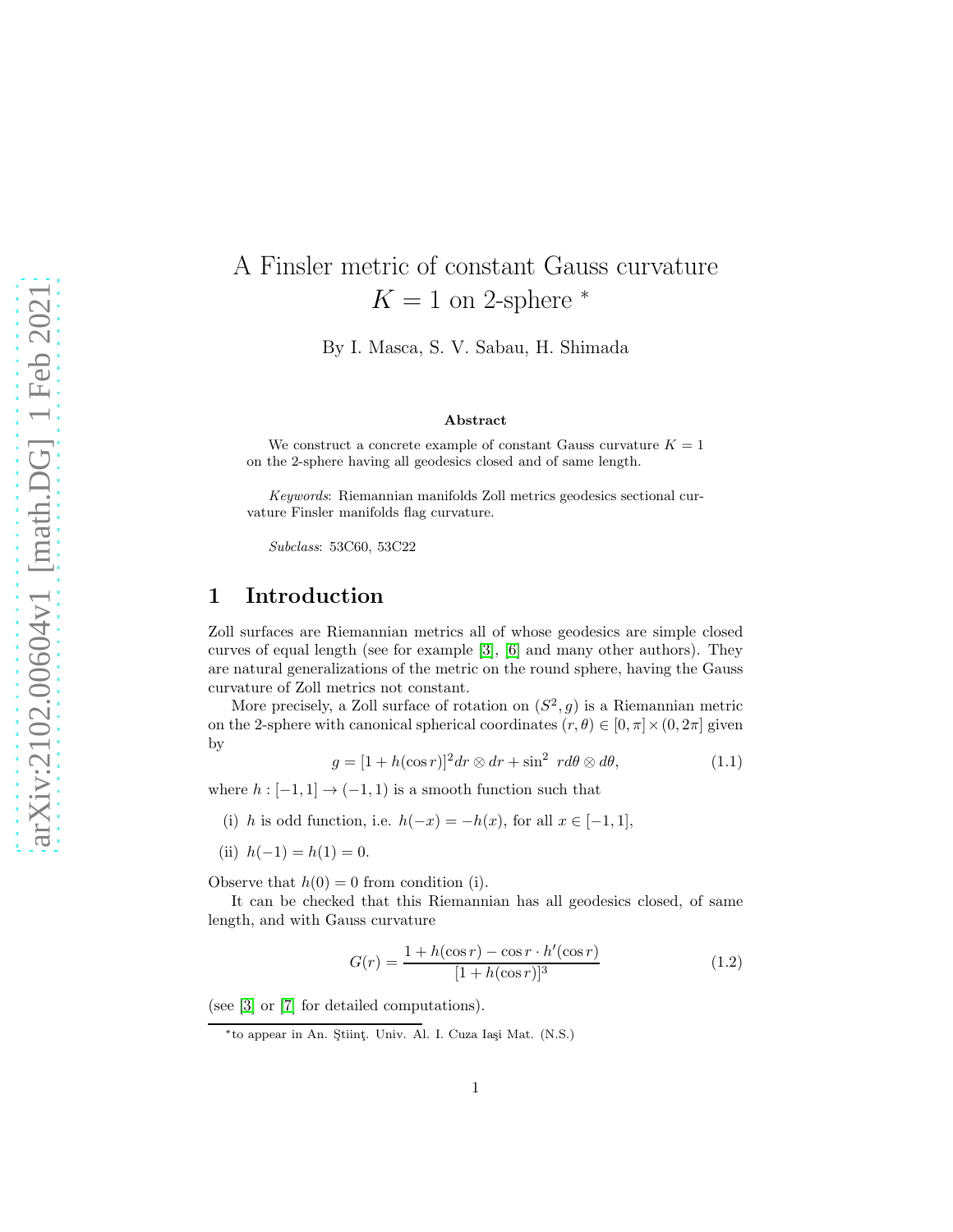# A Finsler metric of constant Gauss curvature  $K = 1$  on 2-sphere  $*$

By I. Masca, S. V. Sabau, H. Shimada

#### Abstract

We construct a concrete example of constant Gauss curvature  $K = 1$ on the 2-sphere having all geodesics closed and of same length.

Keywords: Riemannian manifolds Zoll metrics geodesics sectional curvature Finsler manifolds flag curvature.

Subclass: 53C60, 53C22

#### 1 Introduction

Zoll surfaces are Riemannian metrics all of whose geodesics are simple closed curves of equal length (see for example [\[3\]](#page-13-0), [\[6\]](#page-13-1) and many other authors). They are natural generalizations of the metric on the round sphere, having the Gauss curvature of Zoll metrics not constant.

More precisely, a Zoll surface of rotation on  $(S^2, g)$  is a Riemannian metric on the 2-sphere with canonical spherical coordinates  $(r, \theta) \in [0, \pi] \times (0, 2\pi]$  given by

<span id="page-0-0"></span>
$$
g = [1 + h(\cos r)]^2 dr \otimes dr + \sin^2 r d\theta \otimes d\theta, \qquad (1.1)
$$

where  $h: [-1, 1] \rightarrow (-1, 1)$  is a smooth function such that

- (i) h is odd function, i.e.  $h(-x) = -h(x)$ , for all  $x \in [-1, 1]$ ,
- (ii)  $h(-1) = h(1) = 0$ .

Observe that  $h(0) = 0$  from condition (i).

It can be checked that this Riemannian has all geodesics closed, of same length, and with Gauss curvature

$$
G(r) = \frac{1 + h(\cos r) - \cos r \cdot h'(\cos r)}{[1 + h(\cos r)]^3}
$$
(1.2)

(see [\[3\]](#page-13-0) or [\[7\]](#page-13-2) for detailed computations).

<sup>∗</sup> to appear in An. S¸tiint¸. Univ. Al. I. Cuza Ia¸si Mat. (N.S.)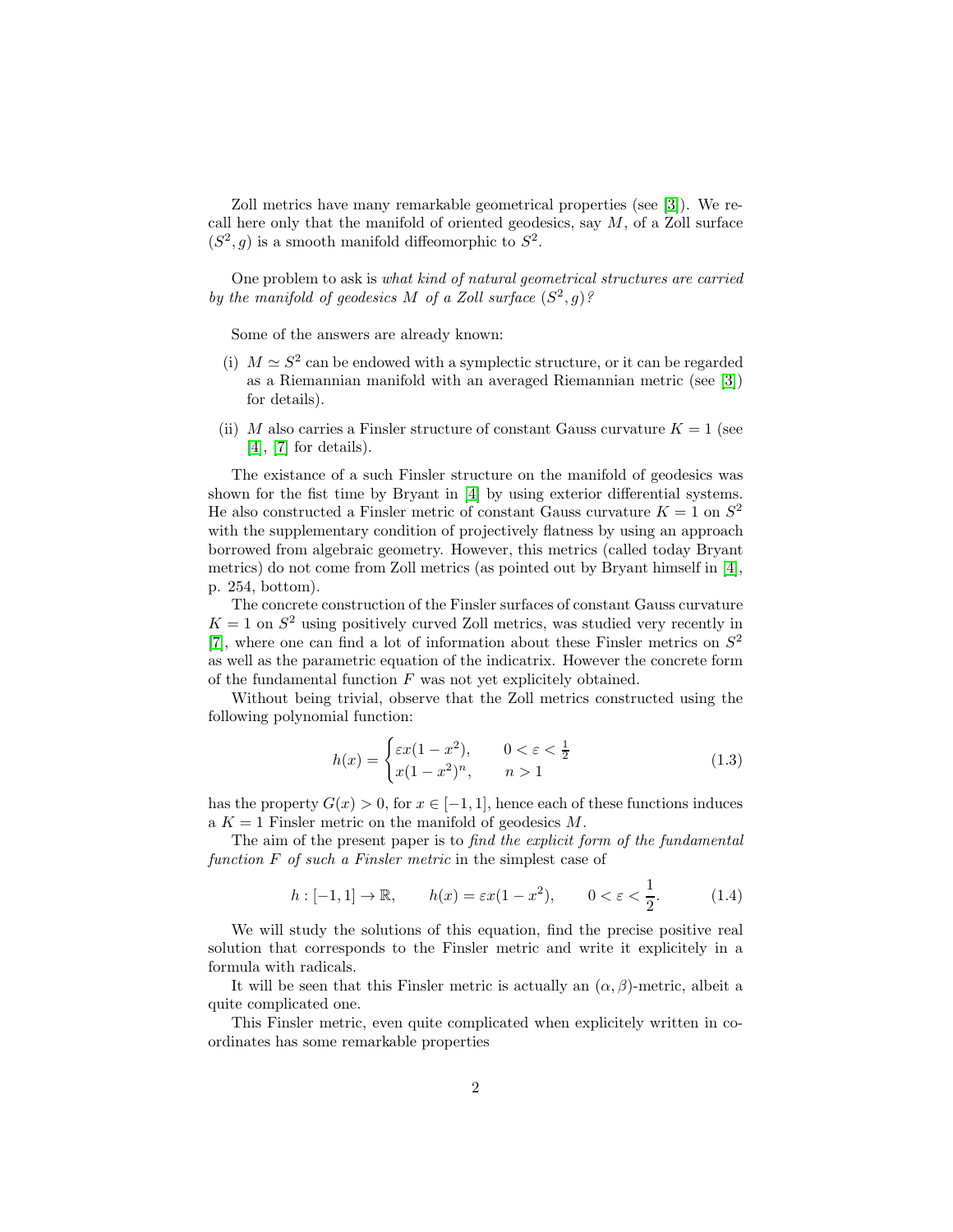Zoll metrics have many remarkable geometrical properties (see [\[3\]](#page-13-0)). We recall here only that the manifold of oriented geodesics, say  $M$ , of a Zoll surface  $(S^2, g)$  is a smooth manifold diffeomorphic to  $S^2$ .

One problem to ask is what kind of natural geometrical structures are carried by the manifold of geodesics M of a Zoll surface  $(S^2, g)$ ?

Some of the answers are already known:

- (i)  $M \simeq S^2$  can be endowed with a symplectic structure, or it can be regarded as a Riemannian manifold with an averaged Riemannian metric (see [\[3\]](#page-13-0)) for details).
- (ii) M also carries a Finsler structure of constant Gauss curvature  $K = 1$  (see [\[4\]](#page-13-3), [\[7\]](#page-13-2) for details).

The existance of a such Finsler structure on the manifold of geodesics was shown for the fist time by Bryant in [\[4\]](#page-13-3) by using exterior differential systems. He also constructed a Finsler metric of constant Gauss curvature  $K = 1$  on  $S^2$ with the supplementary condition of projectively flatness by using an approach borrowed from algebraic geometry. However, this metrics (called today Bryant metrics) do not come from Zoll metrics (as pointed out by Bryant himself in [\[4\]](#page-13-3), p. 254, bottom).

The concrete construction of the Finsler surfaces of constant Gauss curvature  $K = 1$  on  $S<sup>2</sup>$  using positively curved Zoll metrics, was studied very recently in [\[7\]](#page-13-2), where one can find a lot of information about these Finsler metrics on  $S^2$ as well as the parametric equation of the indicatrix. However the concrete form of the fundamental function  $F$  was not yet explicitely obtained.

Without being trivial, observe that the Zoll metrics constructed using the following polynomial function:

<span id="page-1-0"></span>
$$
h(x) = \begin{cases} \varepsilon x(1-x^2), & 0 < \varepsilon < \frac{1}{2} \\ x(1-x^2)^n, & n > 1 \end{cases}
$$
 (1.3)

has the property  $G(x) > 0$ , for  $x \in [-1, 1]$ , hence each of these functions induces a  $K = 1$  Finsler metric on the manifold of geodesics M.

The aim of the present paper is to find the explicit form of the fundamental function F of such a Finsler metric in the simplest case of

<span id="page-1-1"></span>
$$
h: [-1,1] \to \mathbb{R}, \qquad h(x) = \varepsilon x (1 - x^2), \qquad 0 < \varepsilon < \frac{1}{2}.\tag{1.4}
$$

We will study the solutions of this equation, find the precise positive real solution that corresponds to the Finsler metric and write it explicitely in a formula with radicals.

It will be seen that this Finsler metric is actually an  $(\alpha, \beta)$ -metric, albeit a quite complicated one.

This Finsler metric, even quite complicated when explicitely written in coordinates has some remarkable properties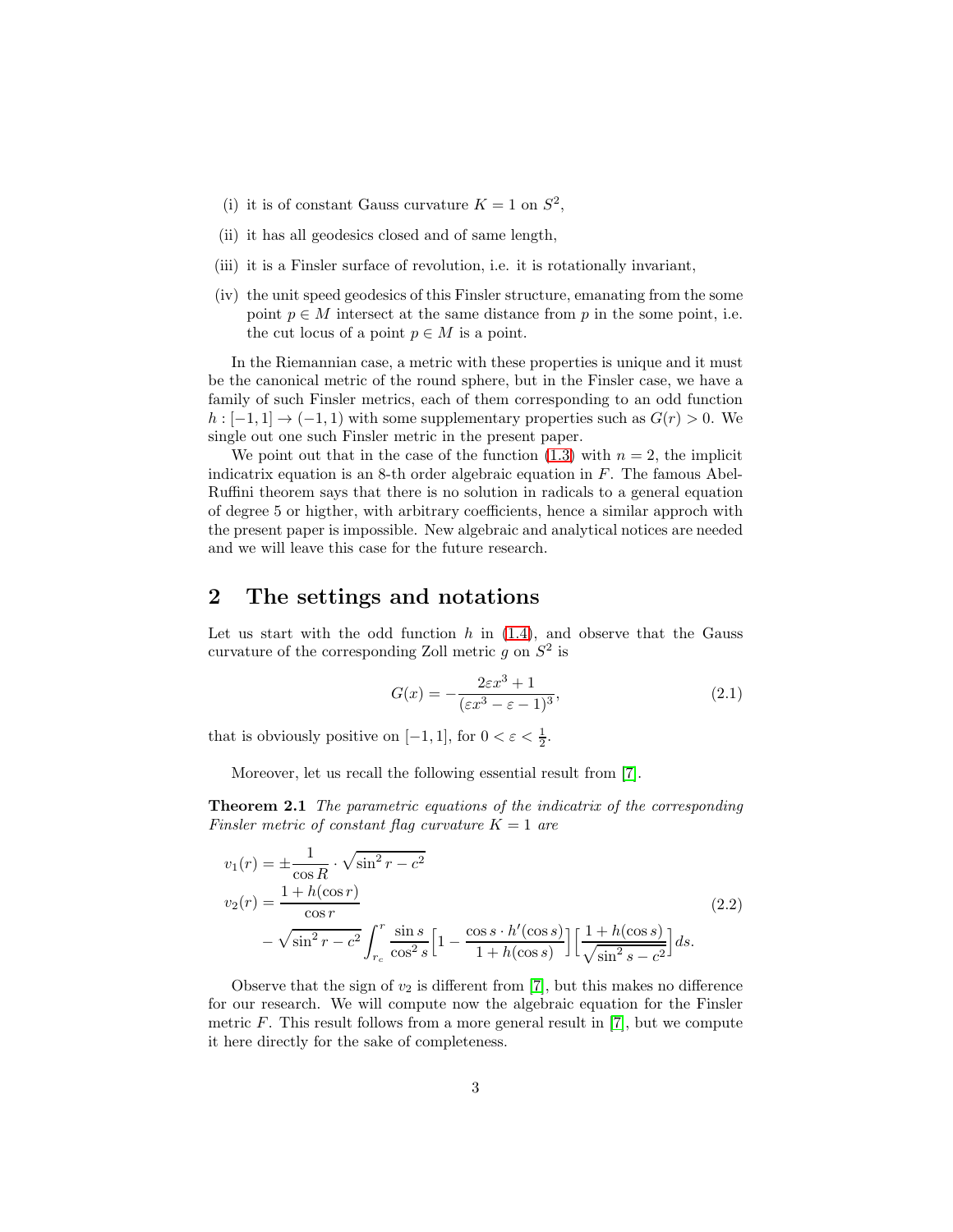- (i) it is of constant Gauss curvature  $K = 1$  on  $S^2$ ,
- (ii) it has all geodesics closed and of same length,
- (iii) it is a Finsler surface of revolution, i.e. it is rotationally invariant,
- (iv) the unit speed geodesics of this Finsler structure, emanating from the some point  $p \in M$  intersect at the same distance from p in the some point, i.e. the cut locus of a point  $p \in M$  is a point.

In the Riemannian case, a metric with these properties is unique and it must be the canonical metric of the round sphere, but in the Finsler case, we have a family of such Finsler metrics, each of them corresponding to an odd function  $h: [-1,1] \to (-1,1)$  with some supplementary properties such as  $G(r) > 0$ . We single out one such Finsler metric in the present paper.

We point out that in the case of the function  $(1.3)$  with  $n = 2$ , the implicit indicatrix equation is an 8-th order algebraic equation in F. The famous Abel-Ruffini theorem says that there is no solution in radicals to a general equation of degree 5 or higther, with arbitrary coefficients, hence a similar approch with the present paper is impossible. New algebraic and analytical notices are needed and we will leave this case for the future research.

#### 2 The settings and notations

Let us start with the odd function  $h$  in  $(1.4)$ , and observe that the Gauss curvature of the corresponding Zoll metric  $g$  on  $S^2$  is

<span id="page-2-1"></span>
$$
G(x) = -\frac{2\varepsilon x^3 + 1}{(\varepsilon x^3 - \varepsilon - 1)^3},\tag{2.1}
$$

that is obviously positive on [-1, 1], for  $0 < \varepsilon < \frac{1}{2}$ .

Moreover, let us recall the following essential result from [\[7\]](#page-13-2).

**Theorem 2.1** The parametric equations of the indicatrix of the corresponding Finsler metric of constant flag curvature  $K = 1$  are

<span id="page-2-0"></span>
$$
v_1(r) = \pm \frac{1}{\cos R} \cdot \sqrt{\sin^2 r - c^2}
$$
  
\n
$$
v_2(r) = \frac{1 + h(\cos r)}{\cos r}
$$
  
\n
$$
- \sqrt{\sin^2 r - c^2} \int_{r_c}^r \frac{\sin s}{\cos^2 s} \left[ 1 - \frac{\cos s \cdot h'(\cos s)}{1 + h(\cos s)} \right] \left[ \frac{1 + h(\cos s)}{\sqrt{\sin^2 s - c^2}} \right] ds.
$$
\n(2.2)

Observe that the sign of  $v_2$  is different from [\[7\]](#page-13-2), but this makes no difference for our research. We will compute now the algebraic equation for the Finsler metric  $F$ . This result follows from a more general result in [\[7\]](#page-13-2), but we compute it here directly for the sake of completeness.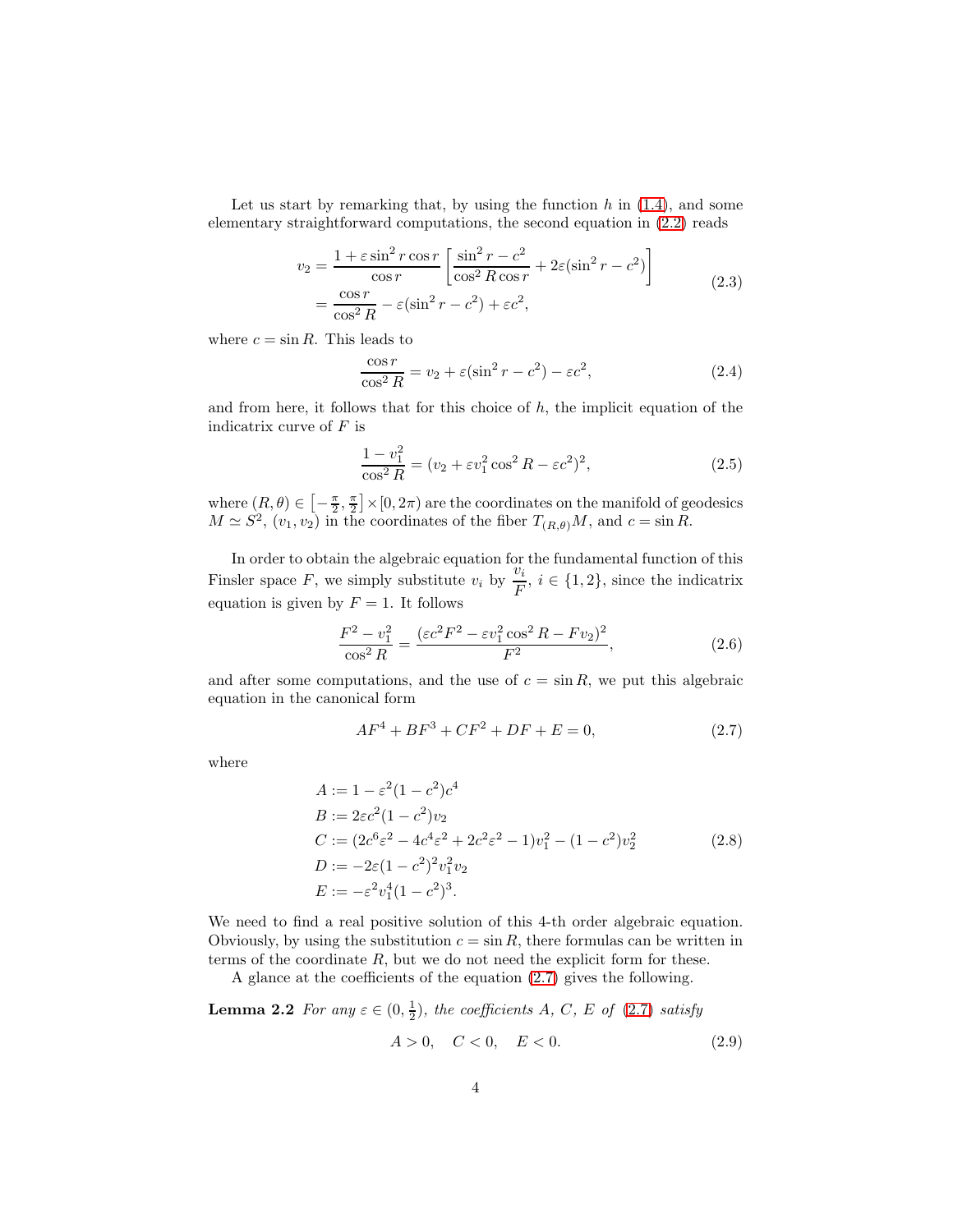Let us start by remarking that, by using the function  $h$  in  $(1.4)$ , and some elementary straightforward computations, the second equation in [\(2.2\)](#page-2-0) reads

$$
v_2 = \frac{1 + \varepsilon \sin^2 r \cos r}{\cos r} \left[ \frac{\sin^2 r - c^2}{\cos^2 R \cos r} + 2\varepsilon (\sin^2 r - c^2) \right]
$$
  
= 
$$
\frac{\cos r}{\cos^2 R} - \varepsilon (\sin^2 r - c^2) + \varepsilon c^2,
$$
 (2.3)

where  $c = \sin R$ . This leads to

$$
\frac{\cos r}{\cos^2 R} = v_2 + \varepsilon (\sin^2 r - c^2) - \varepsilon c^2,
$$
\n(2.4)

and from here, it follows that for this choice of  $h$ , the implicit equation of the indicatrix curve of  $F$  is

$$
\frac{1 - v_1^2}{\cos^2 R} = (v_2 + \varepsilon v_1^2 \cos^2 R - \varepsilon c^2)^2,
$$
\n(2.5)

where  $(R, \theta) \in \left[-\frac{\pi}{2}, \frac{\pi}{2}\right] \times [0, 2\pi)$  are the coordinates on the manifold of geodesics  $M \simeq S^2$ ,  $(v_1, v_2)$  in the coordinates of the fiber  $T_{(R,\theta)}M$ , and  $c = \sin R$ .

In order to obtain the algebraic equation for the fundamental function of this Finsler space F, we simply substitute  $v_i$  by  $\frac{v_i}{F}$ ,  $i \in \{1, 2\}$ , since the indicatrix equation is given by  $F = 1$ . It follows

$$
\frac{F^2 - v_1^2}{\cos^2 R} = \frac{(\varepsilon c^2 F^2 - \varepsilon v_1^2 \cos^2 R - F v_2)^2}{F^2},\tag{2.6}
$$

and after some computations, and the use of  $c = \sin R$ , we put this algebraic equation in the canonical form

<span id="page-3-0"></span>
$$
AF^4 + BF^3 + CF^2 + DF + E = 0,
$$
\n(2.7)

<span id="page-3-1"></span>where

$$
A := 1 - \varepsilon^2 (1 - c^2) c^4
$$
  
\n
$$
B := 2\varepsilon c^2 (1 - c^2) v_2
$$
  
\n
$$
C := (2c^6 \varepsilon^2 - 4c^4 \varepsilon^2 + 2c^2 \varepsilon^2 - 1) v_1^2 - (1 - c^2) v_2^2
$$
  
\n
$$
D := -2\varepsilon (1 - c^2)^2 v_1^2 v_2
$$
  
\n
$$
E := -\varepsilon^2 v_1^4 (1 - c^2)^3.
$$
\n(2.8)

We need to find a real positive solution of this 4-th order algebraic equation. Obviously, by using the substitution  $c = \sin R$ , there formulas can be written in terms of the coordinate  $R$ , but we do not need the explicit form for these.

A glance at the coefficients of the equation [\(2.7\)](#page-3-0) gives the following.

**Lemma 2.2** For any 
$$
\varepsilon \in (0, \frac{1}{2})
$$
, the coefficients A, C, E of (2.7) satisfy  
 $A > 0$ ,  $C < 0$ ,  $E < 0$ . (2.9)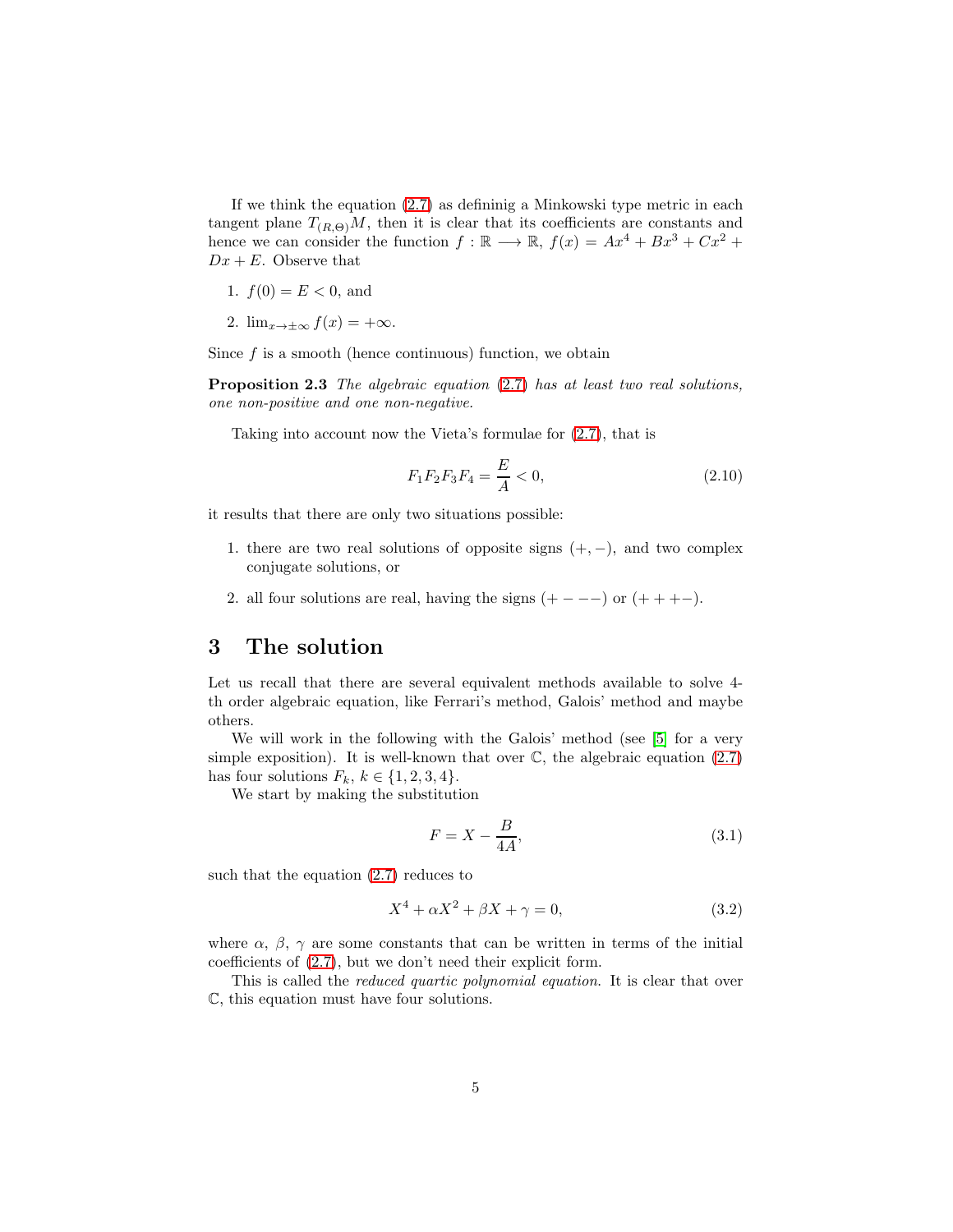If we think the equation  $(2.7)$  as defininig a Minkowski type metric in each tangent plane  $T_{(R,\Theta)}M$ , then it is clear that its coefficients are constants and hence we can consider the function  $f : \mathbb{R} \longrightarrow \mathbb{R}$ ,  $f(x) = Ax^4 + Bx^3 + Cx^2 +$  $Dx + E$ . Observe that

- 1.  $f(0) = E < 0$ , and
- 2.  $\lim_{x\to\pm\infty}f(x)=+\infty$ .

Since  $f$  is a smooth (hence continuous) function, we obtain

Proposition 2.3 The algebraic equation  $(2.7)$  has at least two real solutions, one non-positive and one non-negative.

Taking into account now the Vieta's formulae for [\(2.7\)](#page-3-0), that is

<span id="page-4-2"></span>
$$
F_1 F_2 F_3 F_4 = \frac{E}{A} < 0,\tag{2.10}
$$

it results that there are only two situations possible:

- 1. there are two real solutions of opposite signs  $(+, -)$ , and two complex conjugate solutions, or
- 2. all four solutions are real, having the signs  $(+ - -)$  or  $(+ + + -)$ .

#### 3 The solution

Let us recall that there are several equivalent methods available to solve 4 th order algebraic equation, like Ferrari's method, Galois' method and maybe others.

We will work in the following with the Galois' method (see [\[5\]](#page-13-4) for a very simple exposition). It is well-known that over  $\mathbb{C}$ , the algebraic equation  $(2.7)$ has four solutions  $F_k$ ,  $k \in \{1, 2, 3, 4\}.$ 

We start by making the substitution

<span id="page-4-1"></span>
$$
F = X - \frac{B}{4A},\tag{3.1}
$$

such that the equation [\(2.7\)](#page-3-0) reduces to

<span id="page-4-0"></span>
$$
X^4 + \alpha X^2 + \beta X + \gamma = 0,\tag{3.2}
$$

where  $\alpha$ ,  $\beta$ ,  $\gamma$  are some constants that can be written in terms of the initial coefficients of [\(2.7\)](#page-3-0), but we don't need their explicit form.

This is called the reduced quartic polynomial equation. It is clear that over C, this equation must have four solutions.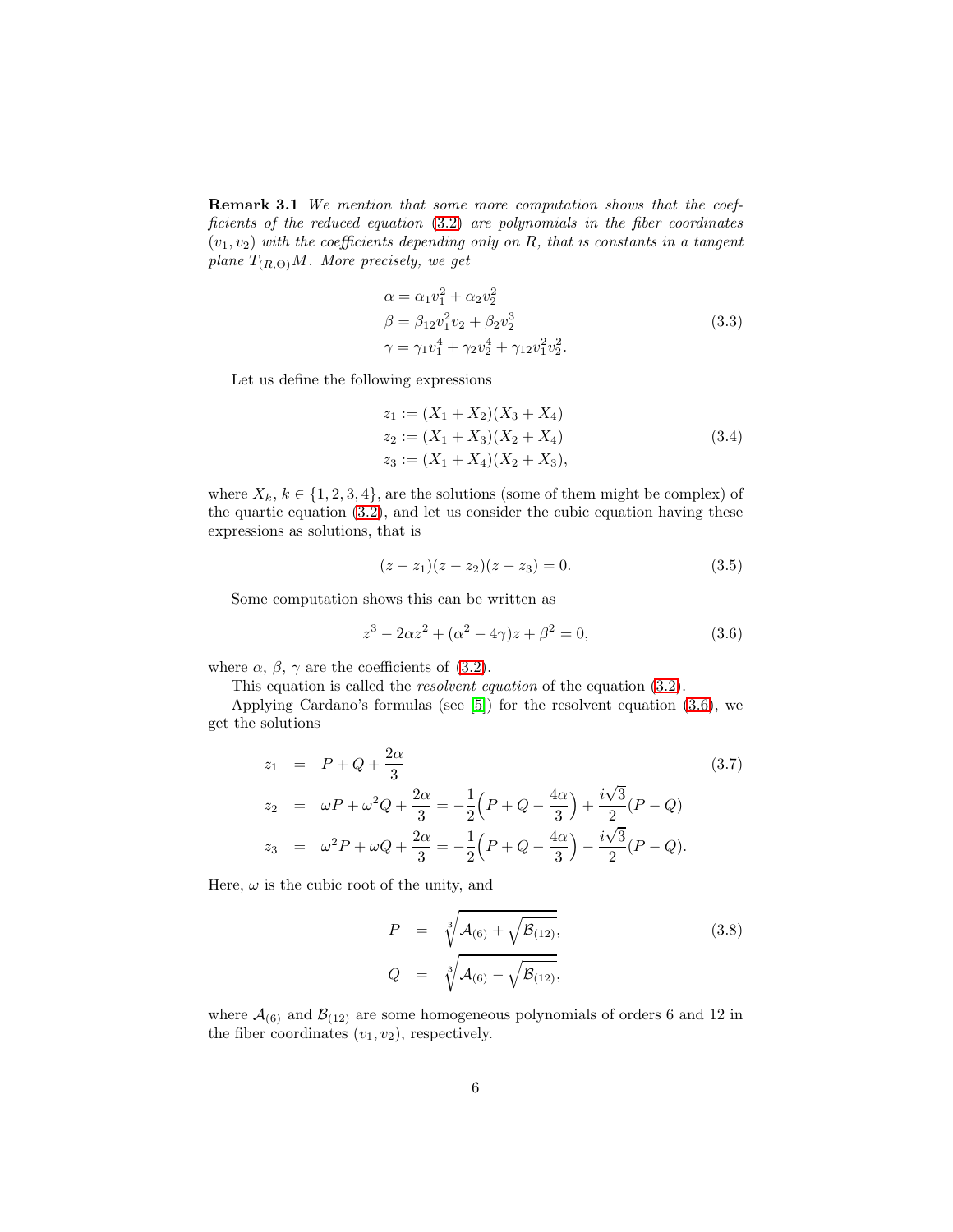**Remark 3.1** We mention that some more computation shows that the coefficients of the reduced equation [\(3.2\)](#page-4-0) are polynomials in the fiber coordinates  $(v_1, v_2)$  with the coefficients depending only on R, that is constants in a tangent plane  $T_{(R,\Theta)}M$ . More precisely, we get

$$
\alpha = \alpha_1 v_1^2 + \alpha_2 v_2^2
$$
  
\n
$$
\beta = \beta_{12} v_1^2 v_2 + \beta_2 v_2^3
$$
  
\n
$$
\gamma = \gamma_1 v_1^4 + \gamma_2 v_2^4 + \gamma_{12} v_1^2 v_2^2.
$$
\n(3.3)

<span id="page-5-2"></span>Let us define the following expressions

$$
z_1 := (X_1 + X_2)(X_3 + X_4)
$$
  
\n
$$
z_2 := (X_1 + X_3)(X_2 + X_4)
$$
  
\n
$$
z_3 := (X_1 + X_4)(X_2 + X_3),
$$
\n(3.4)

where  $X_k, k \in \{1, 2, 3, 4\}$ , are the solutions (some of them might be complex) of the quartic equation [\(3.2\)](#page-4-0), and let us consider the cubic equation having these expressions as solutions, that is

$$
(z-z1)(z-z2)(z-z3) = 0.
$$
 (3.5)

Some computation shows this can be written as

<span id="page-5-0"></span>
$$
z^{3} - 2\alpha z^{2} + (\alpha^{2} - 4\gamma)z + \beta^{2} = 0,
$$
\n(3.6)

where  $\alpha$ ,  $\beta$ ,  $\gamma$  are the coefficients of [\(3.2\)](#page-4-0).

This equation is called the resolvent equation of the equation [\(3.2\)](#page-4-0).

Applying Cardano's formulas (see [\[5\]](#page-13-4)) for the resolvent equation [\(3.6\)](#page-5-0), we get the solutions

$$
z_1 = P + Q + \frac{2\alpha}{3}
$$
\n
$$
z_2 = \omega P + \omega^2 Q + \frac{2\alpha}{3} = -\frac{1}{2} \left( P + Q - \frac{4\alpha}{3} \right) + \frac{i\sqrt{3}}{2} (P - Q)
$$
\n
$$
z_3 = \omega^2 P + \omega Q + \frac{2\alpha}{3} = -\frac{1}{2} \left( P + Q - \frac{4\alpha}{3} \right) - \frac{i\sqrt{3}}{2} (P - Q).
$$
\n(3.7)

Here,  $\omega$  is the cubic root of the unity, and

<span id="page-5-1"></span>
$$
P = \sqrt[3]{\mathcal{A}_{(6)} + \sqrt{\mathcal{B}_{(12)}},}
$$
  
\n
$$
Q = \sqrt[3]{\mathcal{A}_{(6)} - \sqrt{\mathcal{B}_{(12)}},}
$$
\n(3.8)

where  $\mathcal{A}_{(6)}$  and  $\mathcal{B}_{(12)}$  are some homogeneous polynomials of orders 6 and 12 in the fiber coordinates  $(v_1, v_2)$ , respectively.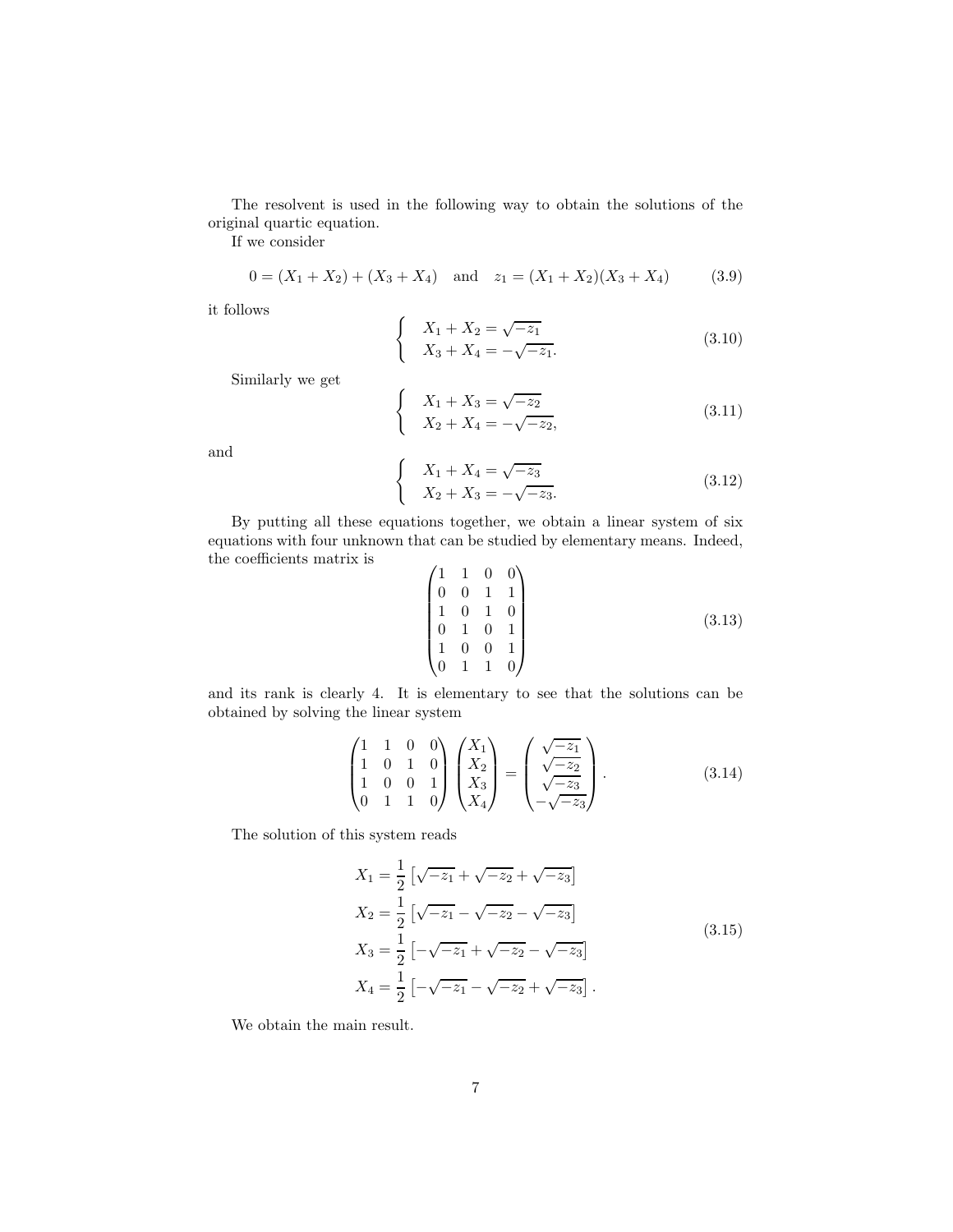The resolvent is used in the following way to obtain the solutions of the original quartic equation.

 $\sqrt{ }$ 

ſ

 $\begin{cases} \end{cases}$ 

 $\sqrt{ }$ 

If we consider

$$
0 = (X_1 + X_2) + (X_3 + X_4) \quad \text{and} \quad z_1 = (X_1 + X_2)(X_3 + X_4) \tag{3.9}
$$

it follows

$$
X_1 + X_2 = \sqrt{-z_1}
$$
  
\n
$$
X_3 + X_4 = -\sqrt{-z_1}.
$$
\n(3.10)

Similarly we get

$$
X_1 + X_3 = \sqrt{-z_2}
$$
  
\n
$$
X_2 + X_4 = -\sqrt{-z_2},
$$
\n(3.11)

and

$$
X_1 + X_4 = \sqrt{-z_3}
$$
  
\n
$$
X_2 + X_3 = -\sqrt{-z_3}.
$$
\n(3.12)

By putting all these equations together, we obtain a linear system of six equations with four unknown that can be studied by elementary means. Indeed, the coefficients matrix is  $\overline{a}$  $\ddot{\phantom{a}}$ 

$$
\begin{pmatrix}\n1 & 1 & 0 & 0 \\
0 & 0 & 1 & 1 \\
1 & 0 & 1 & 0 \\
0 & 1 & 0 & 1 \\
1 & 0 & 0 & 1 \\
0 & 1 & 1 & 0\n\end{pmatrix}
$$
\n(3.13)

and its rank is clearly 4. It is elementary to see that the solutions can be obtained by solving the linear system

$$
\begin{pmatrix}\n1 & 1 & 0 & 0 \\
1 & 0 & 1 & 0 \\
1 & 0 & 0 & 1 \\
0 & 1 & 1 & 0\n\end{pmatrix}\n\begin{pmatrix}\nX_1 \\
X_2 \\
X_3 \\
X_4\n\end{pmatrix} = \begin{pmatrix}\n\sqrt{-z_1} \\
\sqrt{-z_2} \\
\sqrt{-z_3} \\
-\sqrt{-z_3}\n\end{pmatrix}.
$$
\n(3.14)

The solution of this system reads

$$
X_1 = \frac{1}{2} \left[ \sqrt{-z_1} + \sqrt{-z_2} + \sqrt{-z_3} \right]
$$
  
\n
$$
X_2 = \frac{1}{2} \left[ \sqrt{-z_1} - \sqrt{-z_2} - \sqrt{-z_3} \right]
$$
  
\n
$$
X_3 = \frac{1}{2} \left[ -\sqrt{-z_1} + \sqrt{-z_2} - \sqrt{-z_3} \right]
$$
  
\n
$$
X_4 = \frac{1}{2} \left[ -\sqrt{-z_1} - \sqrt{-z_2} + \sqrt{-z_3} \right].
$$
  
\n(3.15)

<span id="page-6-0"></span>We obtain the main result.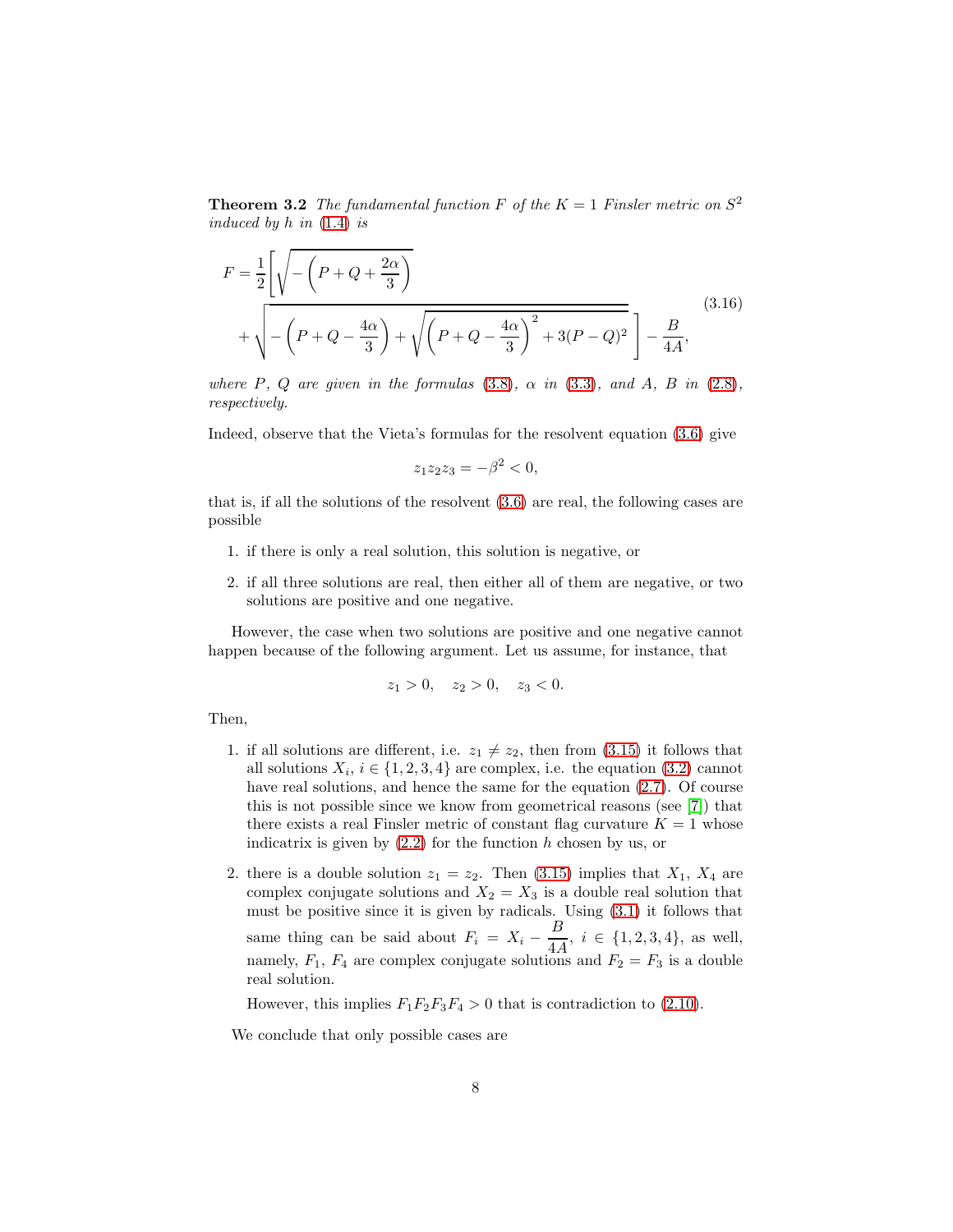**Theorem 3.2** The fundamental function F of the  $K = 1$  Finsler metric on  $S^2$ induced by  $h$  in  $(1.4)$  is

<span id="page-7-0"></span>
$$
F = \frac{1}{2} \left[ \sqrt{-\left(P + Q + \frac{2\alpha}{3}\right)} + \sqrt{\left(P + Q - \frac{4\alpha}{3}\right)^2 + 3(P - Q)^2} \right] - \frac{B}{4A},
$$
\n(3.16)

where  $P$ ,  $Q$  are given in the formulas [\(3.8\)](#page-5-1),  $\alpha$  in [\(3.3\)](#page-5-2), and  $A$ ,  $B$  in [\(2.8\)](#page-3-1), respectively.

Indeed, observe that the Vieta's formulas for the resolvent equation [\(3.6\)](#page-5-0) give

$$
z_1 z_2 z_3 = -\beta^2 < 0,
$$

that is, if all the solutions of the resolvent [\(3.6\)](#page-5-0) are real, the following cases are possible

- 1. if there is only a real solution, this solution is negative, or
- 2. if all three solutions are real, then either all of them are negative, or two solutions are positive and one negative.

However, the case when two solutions are positive and one negative cannot happen because of the following argument. Let us assume, for instance, that

$$
z_1 > 0, \quad z_2 > 0, \quad z_3 < 0.
$$

Then,

- 1. if all solutions are different, i.e.  $z_1 \neq z_2$ , then from [\(3.15\)](#page-6-0) it follows that all solutions  $X_i$ ,  $i \in \{1, 2, 3, 4\}$  are complex, i.e. the equation  $(3.2)$  cannot have real solutions, and hence the same for the equation  $(2.7)$ . Of course this is not possible since we know from geometrical reasons (see [\[7\]](#page-13-2)) that there exists a real Finsler metric of constant flag curvature  $K = 1$  whose indicatrix is given by  $(2.2)$  for the function h chosen by us, or
- 2. there is a double solution  $z_1 = z_2$ . Then [\(3.15\)](#page-6-0) implies that  $X_1, X_4$  are complex conjugate solutions and  $X_2 = X_3$  is a double real solution that must be positive since it is given by radicals. Using [\(3.1\)](#page-4-1) it follows that same thing can be said about  $F_i = X_i - \frac{B}{4A}$  $\frac{2}{4A}$ ,  $i \in \{1, 2, 3, 4\}$ , as well, namely,  $F_1$ ,  $F_4$  are complex conjugate solutions and  $F_2 = F_3$  is a double real solution.

However, this implies  $F_1F_2F_3F_4 > 0$  that is contradiction to [\(2.10\)](#page-4-2).

We conclude that only possible cases are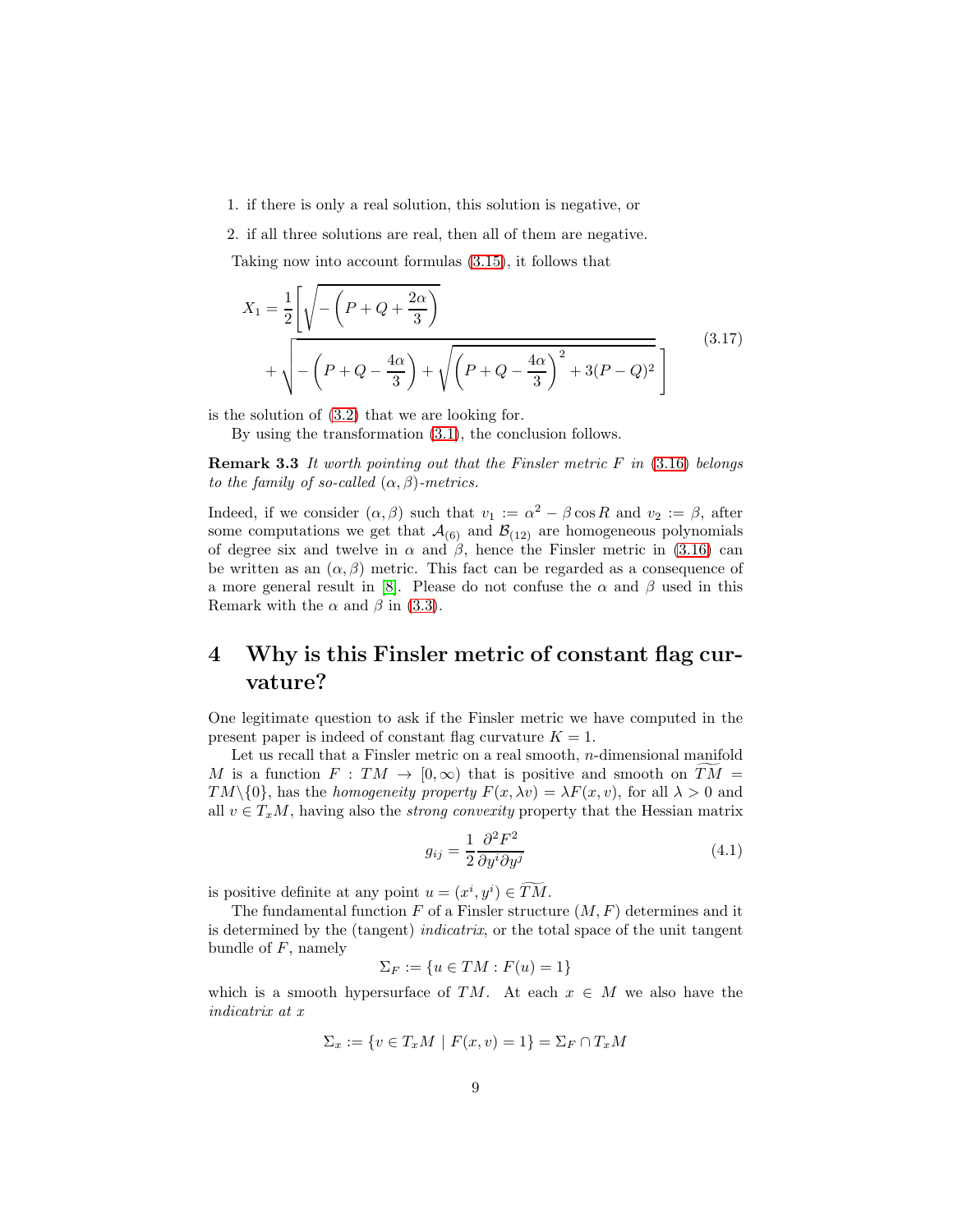1. if there is only a real solution, this solution is negative, or

2. if all three solutions are real, then all of them are negative.

Taking now into account formulas [\(3.15\)](#page-6-0), it follows that

$$
X_1 = \frac{1}{2} \left[ \sqrt{-\left(P + Q + \frac{2\alpha}{3}\right)} + \sqrt{-\left(P + Q - \frac{4\alpha}{3}\right) + \sqrt{\left(P + Q - \frac{4\alpha}{3}\right)^2 + 3(P - Q)^2}}\right]
$$
(3.17)

is the solution of [\(3.2\)](#page-4-0) that we are looking for.

By using the transformation [\(3.1\)](#page-4-1), the conclusion follows.

**Remark 3.3** It worth pointing out that the Finsler metric  $F$  in [\(3.16\)](#page-7-0) belongs to the family of so-called  $(\alpha, \beta)$ -metrics.

Indeed, if we consider  $(\alpha, \beta)$  such that  $v_1 := \alpha^2 - \beta \cos R$  and  $v_2 := \beta$ , after some computations we get that  $\mathcal{A}_{(6)}$  and  $\mathcal{B}_{(12)}$  are homogeneous polynomials of degree six and twelve in  $\alpha$  and  $\beta$ , hence the Finsler metric in [\(3.16\)](#page-7-0) can be written as an  $(\alpha, \beta)$  metric. This fact can be regarded as a consequence of a more general result in [\[8\]](#page-13-5). Please do not confuse the  $\alpha$  and  $\beta$  used in this Remark with the  $\alpha$  and  $\beta$  in [\(3.3\)](#page-5-2).

### 4 Why is this Finsler metric of constant flag curvature?

One legitimate question to ask if the Finsler metric we have computed in the present paper is indeed of constant flag curvature  $K = 1$ .

Let us recall that a Finsler metric on a real smooth, *n*-dimensional manifold M is a function  $F: TM \to [0, \infty)$  that is positive and smooth on  $TM =$  $TM\setminus\{0\}$ , has the *homogeneity property*  $F(x,\lambda v) = \lambda F(x,v)$ , for all  $\lambda > 0$  and all  $v \in T_xM$ , having also the *strong convexity* property that the Hessian matrix

$$
g_{ij} = \frac{1}{2} \frac{\partial^2 F^2}{\partial y^i \partial y^j}
$$
(4.1)

is positive definite at any point  $u = (x^i, y^i) \in \overline{TM}$ .

The fundamental function  $F$  of a Finsler structure  $(M, F)$  determines and it is determined by the (tangent) indicatrix, or the total space of the unit tangent bundle of  $F$ , namely

$$
\Sigma_F := \{ u \in TM : F(u) = 1 \}
$$

which is a smooth hypersurface of TM. At each  $x \in M$  we also have the indicatrix at x

$$
\Sigma_x := \{ v \in T_x M \mid F(x, v) = 1 \} = \Sigma_F \cap T_x M
$$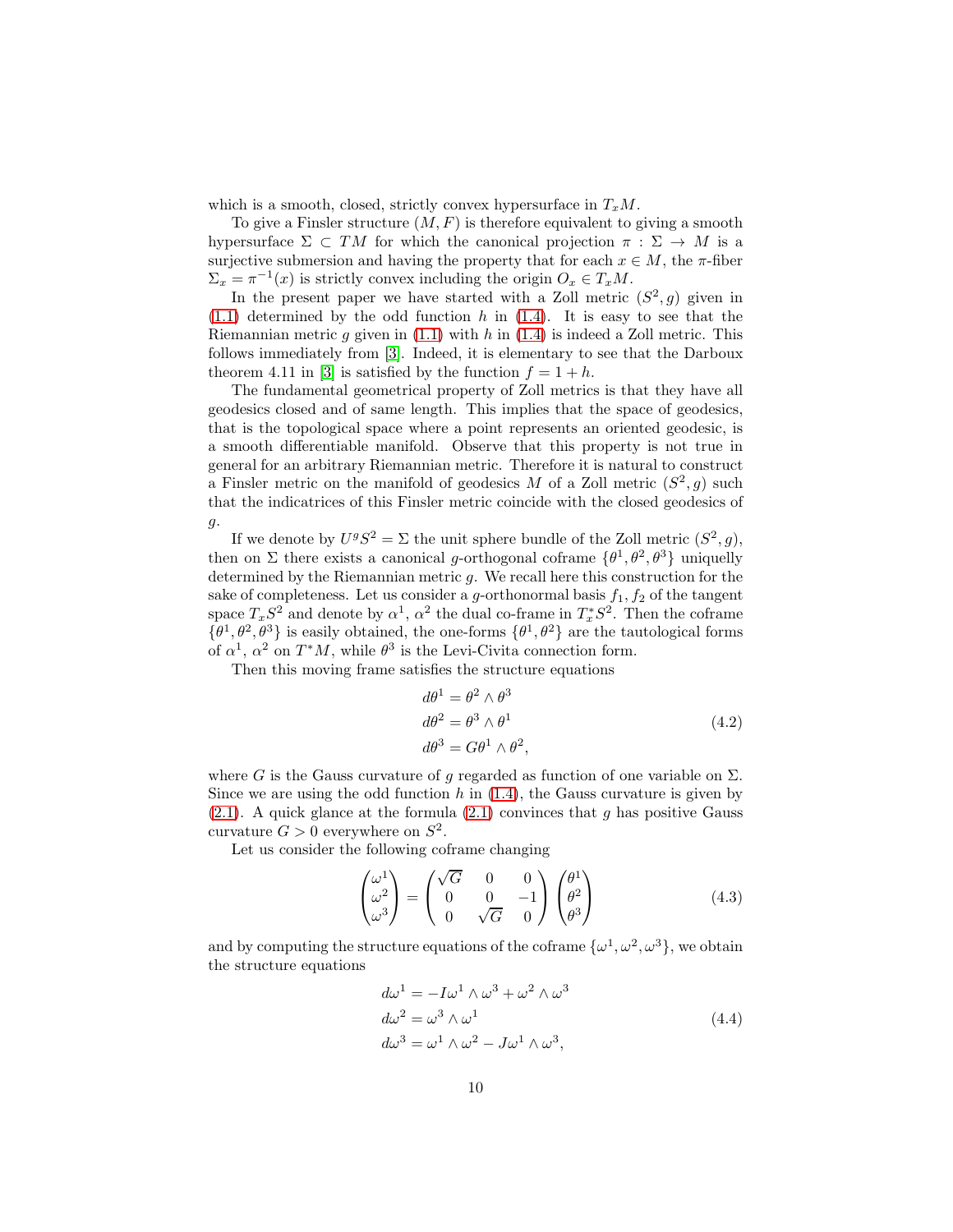which is a smooth, closed, strictly convex hypersurface in  $T_xM$ .

To give a Finsler structure  $(M, F)$  is therefore equivalent to giving a smooth hypersurface  $\Sigma \subset TM$  for which the canonical projection  $\pi : \Sigma \to M$  is a surjective submersion and having the property that for each  $x \in M$ , the  $\pi$ -fiber  $\Sigma_x = \pi^{-1}(x)$  is strictly convex including the origin  $O_x \in T_xM$ .

In the present paper we have started with a Zoll metric  $(S^2, g)$  given in  $(1.1)$  determined by the odd function h in  $(1.4)$ . It is easy to see that the Riemannian metric g given in  $(1.1)$  with h in  $(1.4)$  is indeed a Zoll metric. This follows immediately from [\[3\]](#page-13-0). Indeed, it is elementary to see that the Darboux theorem 4.11 in [\[3\]](#page-13-0) is satisfied by the function  $f = 1 + h$ .

The fundamental geometrical property of Zoll metrics is that they have all geodesics closed and of same length. This implies that the space of geodesics, that is the topological space where a point represents an oriented geodesic, is a smooth differentiable manifold. Observe that this property is not true in general for an arbitrary Riemannian metric. Therefore it is natural to construct a Finsler metric on the manifold of geodesics M of a Zoll metric  $(S^2, g)$  such that the indicatrices of this Finsler metric coincide with the closed geodesics of g.

If we denote by  $U^gS^2 = \Sigma$  the unit sphere bundle of the Zoll metric  $(S^2, g)$ , then on  $\Sigma$  there exists a canonical g-orthogonal coframe  $\{\theta^1, \theta^2, \theta^3\}$  uniquelly determined by the Riemannian metric g. We recall here this construction for the sake of completeness. Let us consider a g-orthonormal basis  $f_1, f_2$  of the tangent space  $T_xS^2$  and denote by  $\alpha^1$ ,  $\alpha^2$  the dual co-frame in  $T_x^*S^2$ . Then the coframe  $\{\theta^1, \theta^2, \theta^3\}$  is easily obtained, the one-forms  $\{\theta^1, \theta^2\}$  are the tautological forms of  $\alpha^1$ ,  $\alpha^2$  on  $T^*M$ , while  $\theta^3$  is the Levi-Civita connection form.

Then this moving frame satisfies the structure equations

$$
d\theta^{1} = \theta^{2} \wedge \theta^{3}
$$
  
\n
$$
d\theta^{2} = \theta^{3} \wedge \theta^{1}
$$
  
\n
$$
d\theta^{3} = G\theta^{1} \wedge \theta^{2},
$$
\n(4.2)

where G is the Gauss curvature of q regarded as function of one variable on  $\Sigma$ . Since we are using the odd function  $h$  in  $(1.4)$ , the Gauss curvature is given by  $(2.1)$ . A quick glance at the formula  $(2.1)$  convinces that g has positive Gauss curvature  $G > 0$  everywhere on  $S^2$ .

Let us consider the following coframe changing

<span id="page-9-0"></span>
$$
\begin{pmatrix} \omega^1 \\ \omega^2 \\ \omega^3 \end{pmatrix} = \begin{pmatrix} \sqrt{G} & 0 & 0 \\ 0 & 0 & -1 \\ 0 & \sqrt{G} & 0 \end{pmatrix} \begin{pmatrix} \theta^1 \\ \theta^2 \\ \theta^3 \end{pmatrix}
$$
(4.3)

and by computing the structure equations of the coframe  $\{\omega^1, \omega^2, \omega^3\}$ , we obtain the structure equations

$$
d\omega^{1} = -I\omega^{1} \wedge \omega^{3} + \omega^{2} \wedge \omega^{3}
$$
  
\n
$$
d\omega^{2} = \omega^{3} \wedge \omega^{1}
$$
  
\n
$$
d\omega^{3} = \omega^{1} \wedge \omega^{2} - J\omega^{1} \wedge \omega^{3},
$$
\n(4.4)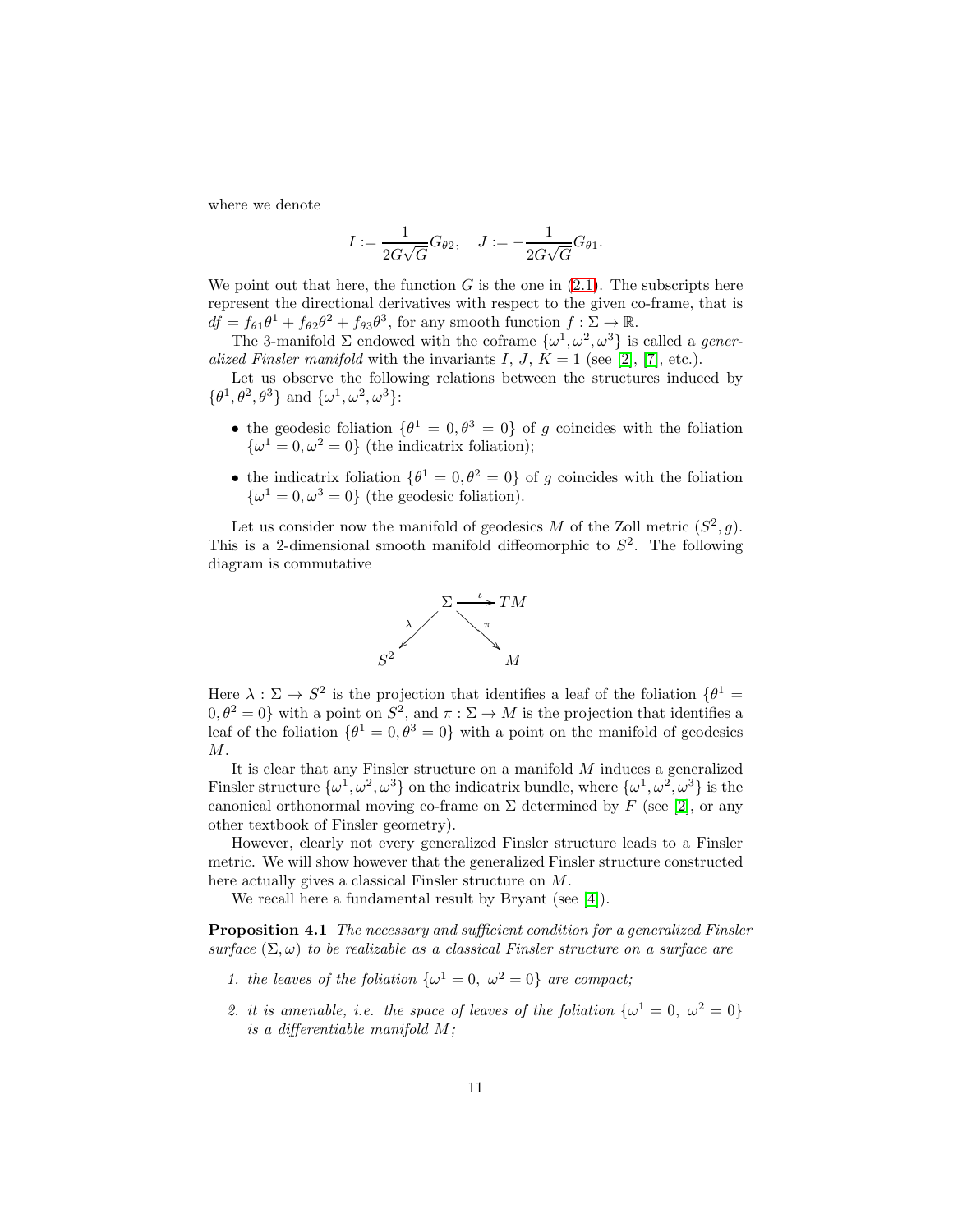where we denote

$$
I := \frac{1}{2G\sqrt{G}}G_{\theta 2}, \quad J := -\frac{1}{2G\sqrt{G}}G_{\theta 1}.
$$

We point out that here, the function G is the one in  $(2.1)$ . The subscripts here represent the directional derivatives with respect to the given co-frame, that is  $df = f_{\theta 1} \theta^1 + f_{\theta 2} \theta^2 + f_{\theta 3} \theta^3$ , for any smooth function  $f : \Sigma \to \mathbb{R}$ .

The 3-manifold  $\Sigma$  endowed with the coframe  $\{\omega^1, \omega^2, \omega^3\}$  is called a *gener*alized Finsler manifold with the invariants I, J,  $K = 1$  (see [\[2\]](#page-13-6), [\[7\]](#page-13-2), etc.).

Let us observe the following relations between the structures induced by  $\{\theta^1, \theta^2, \theta^3\}$  and  $\{\omega^1, \omega^2, \omega^3\}$ :

- the geodesic foliation  $\{\theta^1 = 0, \theta^3 = 0\}$  of g coincides with the foliation  $\{\omega^1 = 0, \omega^2 = 0\}$  (the indicatrix foliation);
- the indicatrix foliation  $\{\theta^1 = 0, \theta^2 = 0\}$  of g coincides with the foliation  $\{\omega^1 = 0, \omega^3 = 0\}$  (the geodesic foliation).

Let us consider now the manifold of geodesics M of the Zoll metric  $(S^2, g)$ . This is a 2-dimensional smooth manifold diffeomorphic to  $S^2$ . The following diagram is commutative

<span id="page-10-0"></span>

Here  $\lambda : \Sigma \to S^2$  is the projection that identifies a leaf of the foliation  $\{\theta^1 =$  $[0, \theta^2 = 0]$  with a point on  $S^2$ , and  $\pi : \Sigma \to M$  is the projection that identifies a leaf of the foliation  $\{\theta^1 = 0, \theta^3 = 0\}$  with a point on the manifold of geodesics  $M$ .

It is clear that any Finsler structure on a manifold M induces a generalized Finsler structure  $\{\omega^1, \omega^2, \omega^3\}$  on the indicatrix bundle, where  $\{\omega^1, \omega^2, \omega^3\}$  is the canonical orthonormal moving co-frame on  $\Sigma$  determined by F (see [\[2\]](#page-13-6), or any other textbook of Finsler geometry).

However, clearly not every generalized Finsler structure leads to a Finsler metric. We will show however that the generalized Finsler structure constructed here actually gives a classical Finsler structure on M.

We recall here a fundamental result by Bryant (see [\[4\]](#page-13-3)).

Proposition 4.1 The necessary and sufficient condition for a generalized Finsler surface  $(\Sigma, \omega)$  to be realizable as a classical Finsler structure on a surface are

- 1. the leaves of the foliation  $\{\omega^1 = 0, \ \omega^2 = 0\}$  are compact;
- 2. it is amenable, i.e. the space of leaves of the foliation  $\{\omega^1 = 0, \ \omega^2 = 0\}$ is a differentiable manifold M;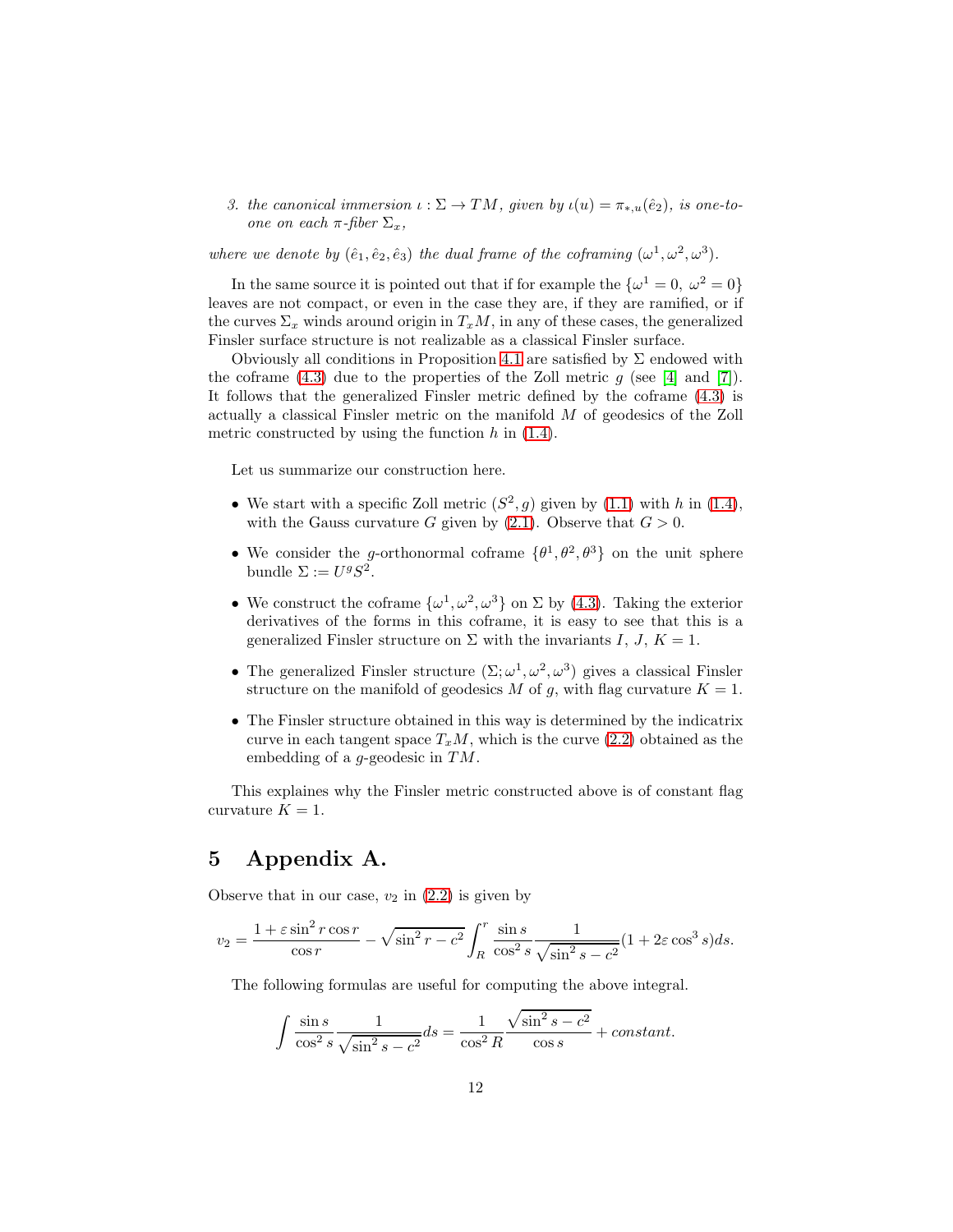3. the canonical immersion  $\iota : \Sigma \to TM$ , given by  $\iota(u) = \pi_{*,u}(\hat{e}_2)$ , is one-toone on each  $\pi$ -fiber  $\Sigma_x$ ,

where we denote by  $(\hat{e}_1, \hat{e}_2, \hat{e}_3)$  the dual frame of the coframing  $(\omega^1, \omega^2, \omega^3)$ .

In the same source it is pointed out that if for example the  $\{\omega^1 = 0, \omega^2 = 0\}$ leaves are not compact, or even in the case they are, if they are ramified, or if the curves  $\Sigma_x$  winds around origin in  $T_xM$ , in any of these cases, the generalized Finsler surface structure is not realizable as a classical Finsler surface.

Obviously all conditions in Proposition [4.1](#page-10-0) are satisfied by  $\Sigma$  endowed with the coframe [\(4.3\)](#page-9-0) due to the properties of the Zoll metric  $q$  (see [\[4\]](#page-13-3) and [\[7\]](#page-13-2)). It follows that the generalized Finsler metric defined by the coframe [\(4.3\)](#page-9-0) is actually a classical Finsler metric on the manifold M of geodesics of the Zoll metric constructed by using the function  $h$  in  $(1.4)$ .

Let us summarize our construction here.

- We start with a specific Zoll metric  $(S^2, g)$  given by [\(1.1\)](#page-0-0) with h in [\(1.4\)](#page-1-1), with the Gauss curvature G given by  $(2.1)$ . Observe that  $G > 0$ .
- We consider the g-orthonormal coframe  $\{\theta^1, \theta^2, \theta^3\}$  on the unit sphere bundle  $\Sigma := U^g S^2$ .
- We construct the coframe  $\{\omega^1, \omega^2, \omega^3\}$  on  $\Sigma$  by [\(4.3\)](#page-9-0). Taking the exterior derivatives of the forms in this coframe, it is easy to see that this is a generalized Finsler structure on  $\Sigma$  with the invariants I, J,  $K = 1$ .
- The generalized Finsler structure  $(\Sigma; \omega^1, \omega^2, \omega^3)$  gives a classical Finsler structure on the manifold of geodesics M of g, with flag curvature  $K = 1$ .
- The Finsler structure obtained in this way is determined by the indicatrix curve in each tangent space  $T_xM$ , which is the curve [\(2.2\)](#page-2-0) obtained as the embedding of a *g*-geodesic in  $TM$ .

This explaines why the Finsler metric constructed above is of constant flag curvature  $K = 1$ .

### 5 Appendix A.

Observe that in our case,  $v_2$  in  $(2.2)$  is given by

$$
v_2 = \frac{1 + \varepsilon \sin^2 r \cos r}{\cos r} - \sqrt{\sin^2 r - c^2} \int_R^r \frac{\sin s}{\cos^2 s} \frac{1}{\sqrt{\sin^2 s - c^2}} (1 + 2\varepsilon \cos^3 s) ds.
$$

The following formulas are useful for computing the above integral.

$$
\int \frac{\sin s}{\cos^2 s} \frac{1}{\sqrt{\sin^2 s - c^2}} ds = \frac{1}{\cos^2 R} \frac{\sqrt{\sin^2 s - c^2}}{\cos s} + constant.
$$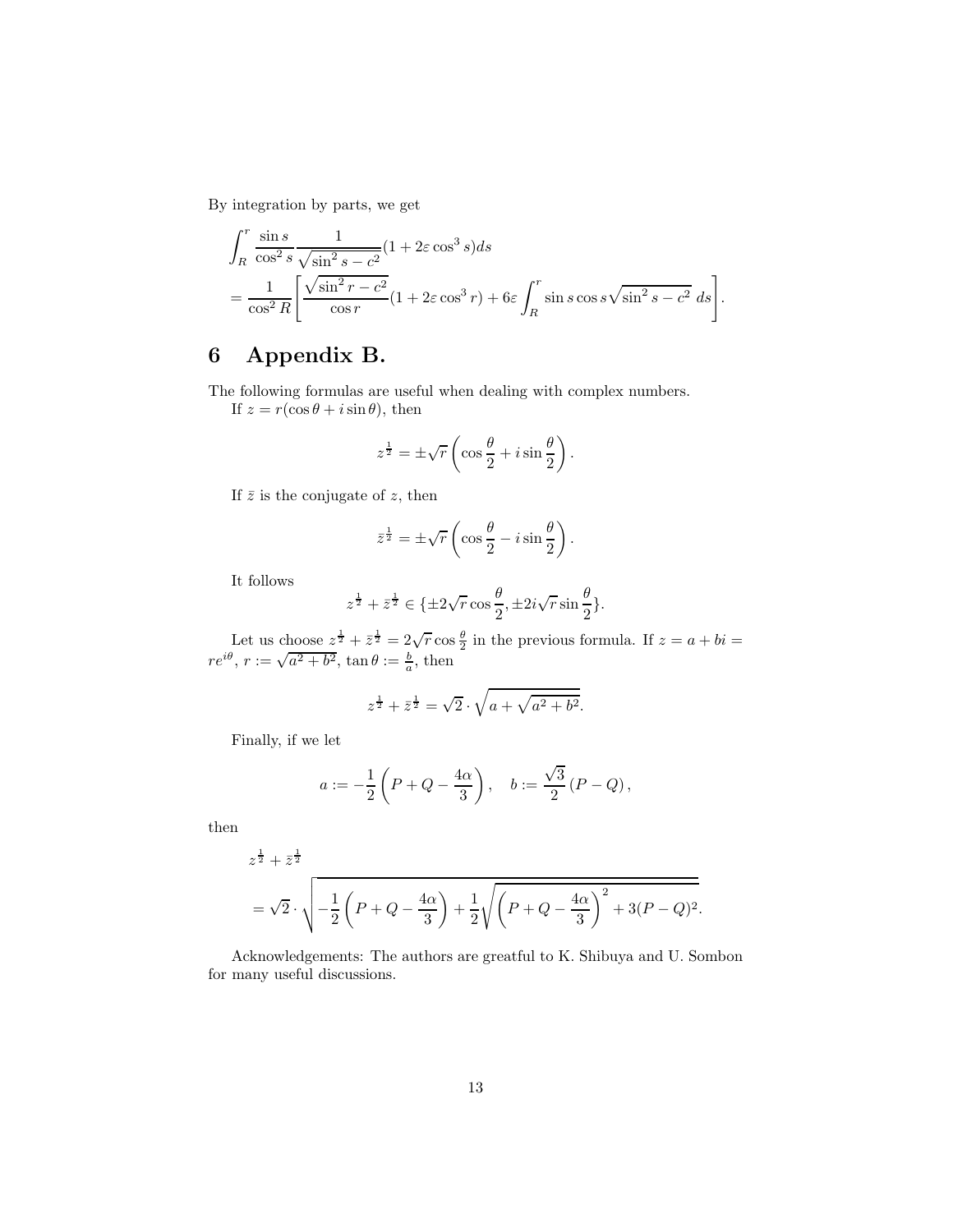By integration by parts, we get

$$
\int_{R}^{r} \frac{\sin s}{\cos^{2} s} \frac{1}{\sqrt{\sin^{2} s - c^{2}}} (1 + 2\varepsilon \cos^{3} s) ds
$$
  
= 
$$
\frac{1}{\cos^{2} R} \left[ \frac{\sqrt{\sin^{2} r - c^{2}}}{\cos r} (1 + 2\varepsilon \cos^{3} r) + 6\varepsilon \int_{R}^{r} \sin s \cos s \sqrt{\sin^{2} s - c^{2}} ds \right].
$$

## 6 Appendix B.

The following formulas are useful when dealing with complex numbers.

If  $z = r(\cos \theta + i \sin \theta)$ , then

$$
z^{\frac{1}{2}} = \pm \sqrt{r} \left( \cos \frac{\theta}{2} + i \sin \frac{\theta}{2} \right).
$$

If  $\bar{z}$  is the conjugate of z, then

$$
\bar{z}^{\frac{1}{2}} = \pm \sqrt{r} \left( \cos \frac{\theta}{2} - i \sin \frac{\theta}{2} \right).
$$

It follows

$$
z^{\frac{1}{2}} + \bar{z}^{\frac{1}{2}} \in \{\pm 2\sqrt{r}\cos\frac{\theta}{2}, \pm 2i\sqrt{r}\sin\frac{\theta}{2}\}.
$$

Let us choose  $z^{\frac{1}{2}} + \overline{z}^{\frac{1}{2}} = 2\sqrt{r} \cos \frac{\theta}{2}$  in the previous formula. If  $z = a + bi =$  $re^{i\theta}$ ,  $r := \sqrt{a^2 + b^2}$ ,  $\tan \theta := \frac{b}{a}$ , then

$$
z^{\frac{1}{2}} + \bar{z}^{\frac{1}{2}} = \sqrt{2} \cdot \sqrt{a + \sqrt{a^2 + b^2}}.
$$

Finally, if we let

$$
a := -\frac{1}{2}\left(P + Q - \frac{4\alpha}{3}\right), \quad b := \frac{\sqrt{3}}{2}(P - Q),
$$

then

$$
z^{\frac{1}{2}} + \bar{z}^{\frac{1}{2}}
$$
  
=  $\sqrt{2} \cdot \sqrt{-\frac{1}{2} \left( P + Q - \frac{4\alpha}{3} \right) + \frac{1}{2} \sqrt{\left( P + Q - \frac{4\alpha}{3} \right)^2 + 3(P - Q)^2}}$ .

Acknowledgements: The authors are greatful to K. Shibuya and U. Sombon for many useful discussions.